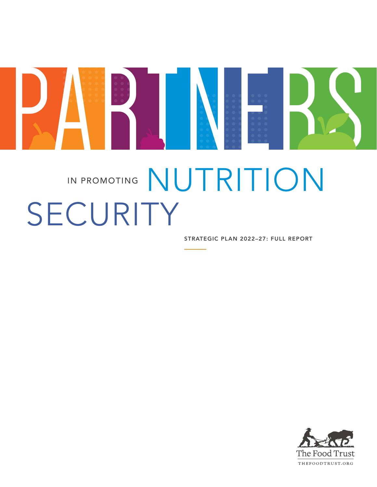

# IN PROMOTING NUTRITION SECURITY

STRATEGIC PLAN 2022-27: FULL REPORT

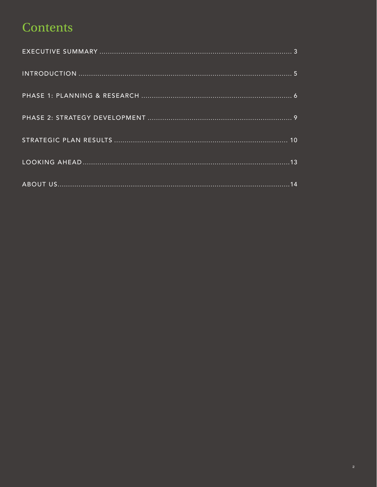### Contents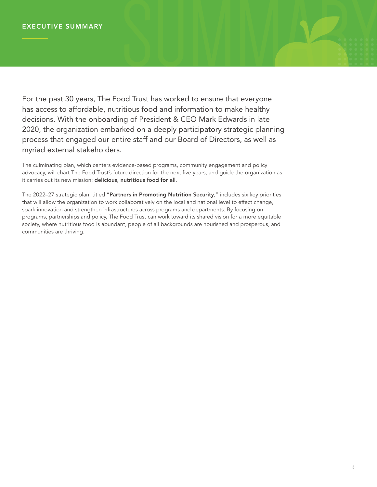For the past 30 years, The Food Trust has worked to ensure that everyone has access to affordable, nutritious food and information to make healthy decisions. With the onboarding of President & CEO Mark Edwards in late 2020, the organization embarked on a deeply participatory strategic planning process that engaged our entire staff and our Board of Directors, as well as myriad external stakeholders.

SUMMARY

The culminating plan, which centers evidence-based programs, community engagement and policy advocacy, will chart The Food Trust's future direction for the next five years, and guide the organization as it carries out its new mission: delicious, nutritious food for all.

The 2022–27 strategic plan, titled "Partners in Promoting Nutrition Security," includes six key priorities that will allow the organization to work collaboratively on the local and national level to effect change, spark innovation and strengthen infrastructures across programs and departments. By focusing on programs, partnerships and policy, The Food Trust can work toward its shared vision for a more equitable society, where nutritious food is abundant, people of all backgrounds are nourished and prosperous, and communities are thriving.

........... ........... ........... ...........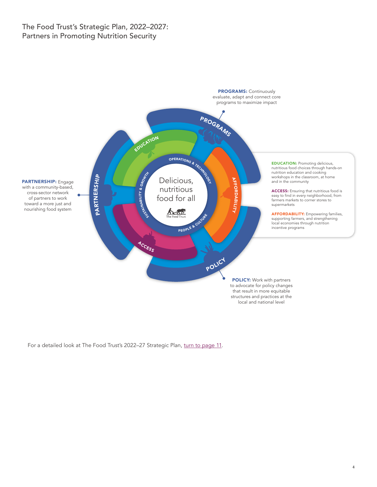#### The Food Trust's Strategic Plan, 2022–2027: Partners in Promoting Nutrition Security



For a detailed look at The Food Trust's 2022-27 Strategic Plan, [turn to page 11](#page-10-0).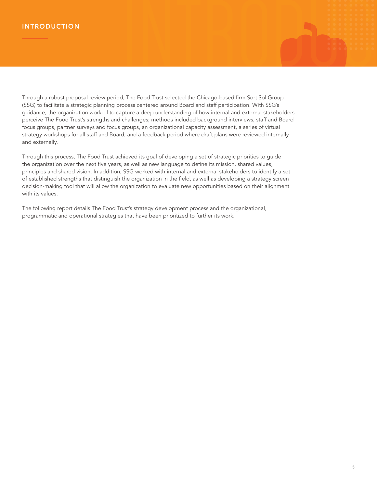Through a robust proposal review period, The Food Trust selected the Chicago-based firm Sort Sol Group (SSG) to facilitate a strategic planning process centered around Board and staff participation. With SSG's guidance, the organization worked to capture a deep understanding of how internal and external stakeholders perceive The Food Trust's strengths and challenges; methods included background interviews, staff and Board focus groups, partner surveys and focus groups, an organizational capacity assessment, a series of virtual strategy workshops for all staff and Board, and a feedback period where draft plans were reviewed internally and externally.

Through this process, The Food Trust achieved its goal of developing a set of strategic priorities to guide the organization over the next five years, as well as new language to define its mission, shared values, principles and shared vision. In addition, SSG worked with internal and external stakeholders to identify a set of established strengths that distinguish the organization in the field, as well as developing a strategy screen decision-making tool that will allow the organization to evaluate new opportunities based on their alignment with its values.

The following report details The Food Trust's strategy development process and the organizational, programmatic and operational strategies that have been prioritized to further its work.

........... ........... ...........

INTRODUCTION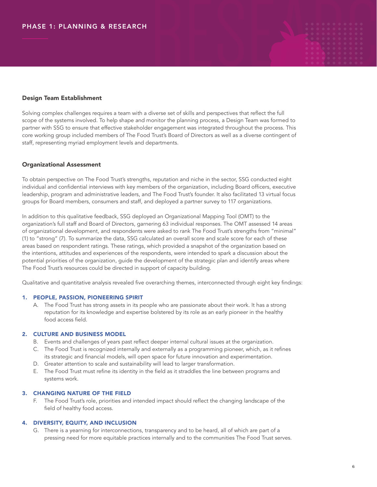#### Design Team Establishment

Solving complex challenges requires a team with a diverse set of skills and perspectives that reflect the full scope of the systems involved. To help shape and monitor the planning process, a Design Team was formed to partner with SSG to ensure that effective stakeholder engagement was integrated throughout the process. This core working group included members of The Food Trust's Board of Directors as well as a diverse contingent of staff, representing myriad employment levels and departments.

#### Organizational Assessment

To obtain perspective on The Food Trust's strengths, reputation and niche in the sector, SSG conducted eight individual and confidential interviews with key members of the organization, including Board officers, executive leadership, program and administrative leaders, and The Food Trust's founder. It also facilitated 13 virtual focus groups for Board members, consumers and staff, and deployed a partner survey to 117 organizations.

In addition to this qualitative feedback, SSG deployed an Organizational Mapping Tool (OMT) to the organization's full staff and Board of Directors, garnering 63 individual responses. The OMT assessed 14 areas of organizational development, and respondents were asked to rank The Food Trust's strengths from "minimal" (1) to "strong" (7). To summarize the data, SSG calculated an overall score and scale score for each of these areas based on respondent ratings. These ratings, which provided a snapshot of the organization based on the intentions, attitudes and experiences of the respondents, were intended to spark a discussion about the potential priorities of the organization, guide the development of the strategic plan and identify areas where The Food Trust's resources could be directed in support of capacity building.

Qualitative and quantitative analysis revealed five overarching themes, interconnected through eight key findings:

#### 1. PEOPLE, PASSION, PIONEERING SPIRIT

A. The Food Trust has strong assets in its people who are passionate about their work. It has a strong reputation for its knowledge and expertise bolstered by its role as an early pioneer in the healthy food access field.

#### 2. CULTURE AND BUSINESS MODEL

- B. Events and challenges of years past reflect deeper internal cultural issues at the organization.
- C. The Food Trust is recognized internally and externally as a programming pioneer, which, as it refines its strategic and financial models, will open space for future innovation and experimentation.
- D. Greater attention to scale and sustainability will lead to larger transformation.
- E. The Food Trust must refine its identity in the field as it straddles the line between programs and systems work.

#### 3. CHANGING NATURE OF THE FIELD

F. The Food Trust's role, priorities and intended impact should reflect the changing landscape of the field of healthy food access.

#### 4. DIVERSITY, EQUITY, AND INCLUSION

G. There is a yearning for interconnections, transparency and to be heard, all of which are part of a pressing need for more equitable practices internally and to the communities The Food Trust serves. ..........<br>......... ........... ...........

RESERVED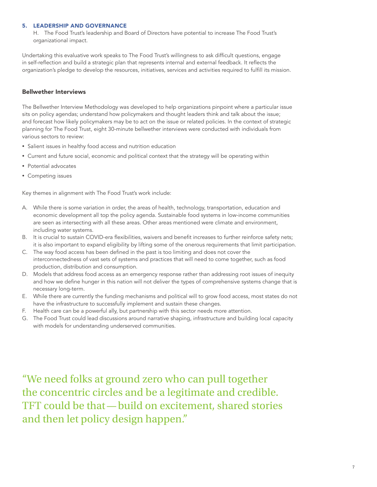#### 5. LEADERSHIP AND GOVERNANCE

H. The Food Trust's leadership and Board of Directors have potential to increase The Food Trust's organizational impact.

Undertaking this evaluative work speaks to The Food Trust's willingness to ask difficult questions, engage in self-reflection and build a strategic plan that represents internal and external feedback. It reflects the organization's pledge to develop the resources, initiatives, services and activities required to fulfill its mission.

#### Bellwether Interviews

The Bellwether Interview Methodology was developed to help organizations pinpoint where a particular issue sits on policy agendas; understand how policymakers and thought leaders think and talk about the issue; and forecast how likely policymakers may be to act on the issue or related policies. In the context of strategic planning for The Food Trust, eight 30-minute bellwether interviews were conducted with individuals from various sectors to review:

- Salient issues in healthy food access and nutrition education
- Current and future social, economic and political context that the strategy will be operating within
- Potential advocates
- Competing issues

Key themes in alignment with The Food Trust's work include:

- A. While there is some variation in order, the areas of health, technology, transportation, education and economic development all top the policy agenda. Sustainable food systems in low-income communities are seen as intersecting with all these areas. Other areas mentioned were climate and environment, including water systems.
- B. It is crucial to sustain COVID-era flexibilities, waivers and benefit increases to further reinforce safety nets; it is also important to expand eligibility by lifting some of the onerous requirements that limit participation.
- C. The way food access has been defined in the past is too limiting and does not cover the interconnectedness of vast sets of systems and practices that will need to come together, such as food production, distribution and consumption.
- D. Models that address food access as an emergency response rather than addressing root issues of inequity and how we define hunger in this nation will not deliver the types of comprehensive systems change that is necessary long-term.
- E. While there are currently the funding mechanisms and political will to grow food access, most states do not have the infrastructure to successfully implement and sustain these changes.
- F. Health care can be a powerful ally, but partnership with this sector needs more attention.
- G. The Food Trust could lead discussions around narrative shaping, infrastructure and building local capacity with models for understanding underserved communities.

"We need folks at ground zero who can pull together the concentric circles and be a legitimate and credible. TFT could be that—build on excitement, shared stories and then let policy design happen."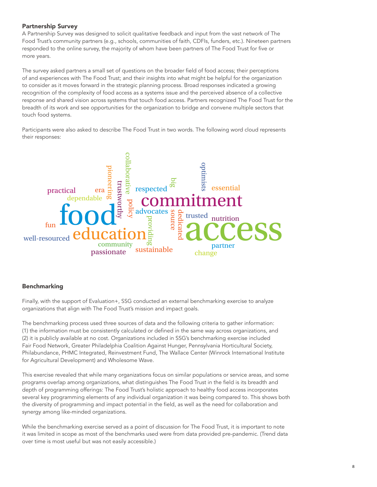#### Partnership Survey

A Partnership Survey was designed to solicit qualitative feedback and input from the vast network of The Food Trust's community partners (e.g., schools, communities of faith, CDFIs, funders, etc.). Nineteen partners responded to the online survey, the majority of whom have been partners of The Food Trust for five or more years.

The survey asked partners a small set of questions on the broader field of food access; their perceptions of and experiences with The Food Trust; and their insights into what might be helpful for the organization to consider as it moves forward in the strategic planning process. Broad responses indicated a growing recognition of the complexity of food access as a systems issue and the perceived absence of a collective response and shared vision across systems that touch food access. Partners recognized The Food Trust for the breadth of its work and see opportunities for the organization to bridge and convene multiple sectors that touch food systems.

Participants were also asked to describe The Food Trust in two words. The following word cloud represents their responses:



#### Benchmarking

Finally, with the support of Evaluation+, SSG conducted an external benchmarking exercise to analyze organizations that align with The Food Trust's mission and impact goals.

The benchmarking process used three sources of data and the following criteria to gather information: (1) the information must be consistently calculated or defined in the same way across organizations, and (2) it is publicly available at no cost. Organizations included in SSG's benchmarking exercise included Fair Food Network, Greater Philadelphia Coalition Against Hunger, Pennsylvania Horticultural Society, Philabundance, PHMC Integrated, Reinvestment Fund, The Wallace Center (Winrock International Institute for Agricultural Development) and Wholesome Wave.

This exercise revealed that while many organizations focus on similar populations or service areas, and some programs overlap among organizations, what distinguishes The Food Trust in the field is its breadth and depth of programming offerings: The Food Trust's holistic approach to healthy food access incorporates several key programming elements of any individual organization it was being compared to. This shows both the diversity of programming and impact potential in the field, as well as the need for collaboration and synergy among like-minded organizations.

While the benchmarking exercise served as a point of discussion for The Food Trust, it is important to note it was limited in scope as most of the benchmarks used were from data provided pre-pandemic. (Trend data over time is most useful but was not easily accessible.)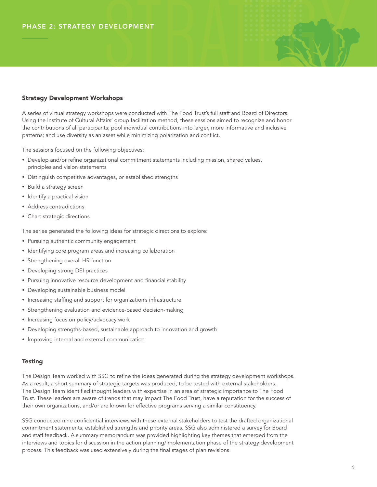#### Strategy Development Workshops

A series of virtual strategy workshops were conducted with The Food Trust's full staff and Board of Directors. Using the Institute of Cultural Affairs' group facilitation method, these sessions aimed to recognize and honor the contributions of all participants; pool individual contributions into larger, more informative and inclusive patterns; and use diversity as an asset while minimizing polarization and conflict.

..........<br>..........

The sessions focused on the following objectives:

- Develop and/or refine organizational commitment statements including mission, shared values, principles and vision statements
- Distinguish competitive advantages, or established strengths
- Build a strategy screen
- Identify a practical vision
- Address contradictions
- Chart strategic directions

The series generated the following ideas for strategic directions to explore:

- Pursuing authentic community engagement
- Identifying core program areas and increasing collaboration
- Strengthening overall HR function
- Developing strong DEI practices
- Pursuing innovative resource development and financial stability
- Developing sustainable business model
- Increasing staffing and support for organization's infrastructure
- Strengthening evaluation and evidence-based decision-making
- Increasing focus on policy/advocacy work
- Developing strengths-based, sustainable approach to innovation and growth
- Improving internal and external communication

#### **Testing**

The Design Team worked with SSG to refine the ideas generated during the strategy development workshops. As a result, a short summary of strategic targets was produced, to be tested with external stakeholders. The Design Team identified thought leaders with expertise in an area of strategic importance to The Food Trust. These leaders are aware of trends that may impact The Food Trust, have a reputation for the success of their own organizations, and/or are known for effective programs serving a similar constituency.

SSG conducted nine confidential interviews with these external stakeholders to test the drafted organizational commitment statements, established strengths and priority areas. SSG also administered a survey for Board and staff feedback. A summary memorandum was provided highlighting key themes that emerged from the interviews and topics for discussion in the action planning/implementation phase of the strategy development process. This feedback was used extensively during the final stages of plan revisions.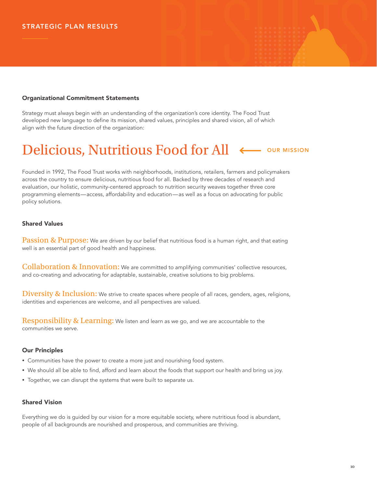## RESULTS ........... ........... ........... ...........

#### Organizational Commitment Statements

Strategy must always begin with an understanding of the organization's core identity. The Food Trust Strategy must always begin with an understanding of the organization's core identity. The Food Trust<br>developed new language to define its mission, shared values, principles and shared vision, all of which<br>align with the fu align with the future direction of the organization: ...........

#### Delicious, Nutritious Food for All ...........

Founded in 1992, The Food Trust works with neighborhoods, institutions, retailers, farmers and policymakers across the country to ensure delicious, nutritious food for all. Backed by three decades of research and evaluation, our holistic, community-centered approach to nutrition security weaves together three core programming elements—access, affordability and education—as well as a focus on advocating for public policy solutions.

#### Shared Values

**Passion & Purpose:** We are driven by our belief that nutritious food is a human right, and that eating well is an essential part of good health and happiness.

**Collaboration & Innovation:** We are committed to amplifying communities' collective resources, and co-creating and advocating for adaptable, sustainable, creative solutions to big problems.

 $\overline{\text{Diversity 8}}$  Inclusion: We strive to create spaces where people of all races, genders, ages, religions, identities and experiences are welcome, and all perspectives are valued.

 $\operatorname{Responsibility}$  &  $\operatorname{Learning:}$  We listen and learn as we go, and we are accountable to the communities we serve.

#### Our Principles

- Communities have the power to create a more just and nourishing food system.
- We should all be able to find, afford and learn about the foods that support our health and bring us joy.
- Together, we can disrupt the systems that were built to separate us.

#### Shared Vision

Everything we do is guided by our vision for a more equitable society, where nutritious food is abundant, people of all backgrounds are nourished and prosperous, and communities are thriving.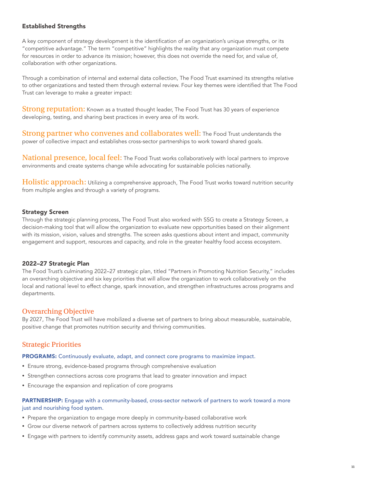#### <span id="page-10-0"></span>Established Strengths

A key component of strategy development is the identification of an organization's unique strengths, or its "competitive advantage." The term "competitive" highlights the reality that any organization must compete for resources in order to advance its mission; however, this does not override the need for, and value of, collaboration with other organizations.

Through a combination of internal and external data collection, The Food Trust examined its strengths relative to other organizations and tested them through external review. Four key themes were identified that The Food Trust can leverage to make a greater impact:

**Strong reputation:** Known as a trusted thought leader, The Food Trust has 30 years of experience developing, testing, and sharing best practices in every area of its work.

Strong partner who convenes and collaborates well: The Food Trust understands the power of collective impact and establishes cross-sector partnerships to work toward shared goals.

 $\rm National\,\,pres$   $\rm{D} \rm{c}$   $\rm{local\,\, feel:}$  The Food Trust works collaboratively with local partners to improve environments and create systems change while advocating for sustainable policies nationally.

**Holistic approach:** Utilizing a comprehensive approach, The Food Trust works toward nutrition security from multiple angles and through a variety of programs.

#### Strategy Screen

Through the strategic planning process, The Food Trust also worked with SSG to create a Strategy Screen, a decision-making tool that will allow the organization to evaluate new opportunities based on their alignment with its mission, vision, values and strengths. The screen asks questions about intent and impact, community engagement and support, resources and capacity, and role in the greater healthy food access ecosystem.

#### 2022–27 Strategic Plan

The Food Trust's culminating 2022–27 strategic plan, titled "Partners in Promoting Nutrition Security," includes an overarching objective and six key priorities that will allow the organization to work collaboratively on the local and national level to effect change, spark innovation, and strengthen infrastructures across programs and departments.

#### Overarching Objective

By 2027, The Food Trust will have mobilized a diverse set of partners to bring about measurable, sustainable, positive change that promotes nutrition security and thriving communities.

#### Strategic Priorities

PROGRAMS: Continuously evaluate, adapt, and connect core programs to maximize impact.

- Ensure strong, evidence-based programs through comprehensive evaluation
- Strengthen connections across core programs that lead to greater innovation and impact
- Encourage the expansion and replication of core programs

#### PARTNERSHIP: Engage with a community-based, cross-sector network of partners to work toward a more just and nourishing food system.

- Prepare the organization to engage more deeply in community-based collaborative work
- Grow our diverse network of partners across systems to collectively address nutrition security
- Engage with partners to identify community assets, address gaps and work toward sustainable change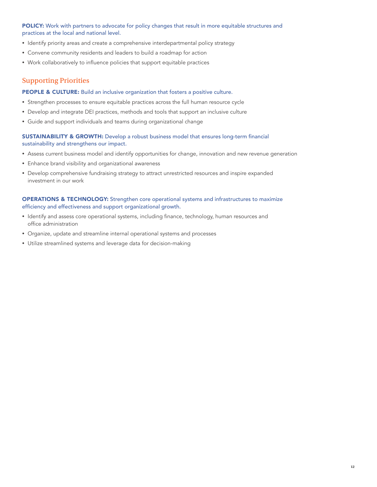#### POLICY: Work with partners to advocate for policy changes that result in more equitable structures and practices at the local and national level.

- Identify priority areas and create a comprehensive interdepartmental policy strategy
- Convene community residents and leaders to build a roadmap for action
- Work collaboratively to influence policies that support equitable practices

#### Supporting Priorities

#### PEOPLE & CULTURE: Build an inclusive organization that fosters a positive culture.

- Strengthen processes to ensure equitable practices across the full human resource cycle
- Develop and integrate DEI practices, methods and tools that support an inclusive culture
- Guide and support individuals and teams during organizational change

#### SUSTAINABILITY & GROWTH: Develop a robust business model that ensures long-term financial sustainability and strengthens our impact.

- Assess current business model and identify opportunities for change, innovation and new revenue generation
- Enhance brand visibility and organizational awareness
- Develop comprehensive fundraising strategy to attract unrestricted resources and inspire expanded investment in our work

#### OPERATIONS & TECHNOLOGY: Strengthen core operational systems and infrastructures to maximize efficiency and effectiveness and support organizational growth.

- Identify and assess core operational systems, including finance, technology, human resources and office administration
- Organize, update and streamline internal operational systems and processes
- Utilize streamlined systems and leverage data for decision-making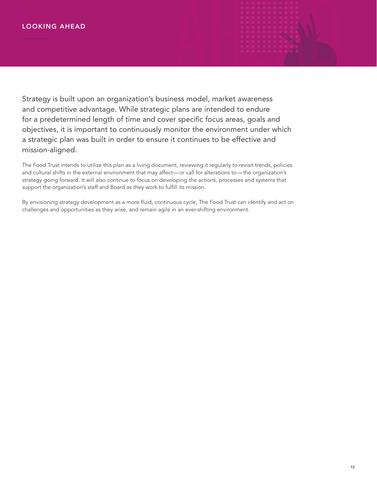# LOOKING AHEAD AHEAD

Strategy is built upon an organization's business model, market awareness and competitive advantage. While strategic plans are intended to endure for a predetermined length of time and cover specific focus areas, goals and objectives, it is important to continuously monitor the environment under which a strategic plan was built in order to ensure it continues to be effective and mission-aligned.

The Food Trust intends to utilize this plan as a living document, reviewing it regularly to revisit trends, policies and cultural shifts in the external environment that may affect—or call for alterations to—the organization's strategy going forward. It will also continue to focus on developing the actions, processes and systems that support the organization's staff and Board as they work to fulfill its mission.

By envisioning strategy development as a more fluid, continuous cycle, The Food Trust can identify and act on challenges and opportunities as they arise, and remain agile in an ever-shifting environment.